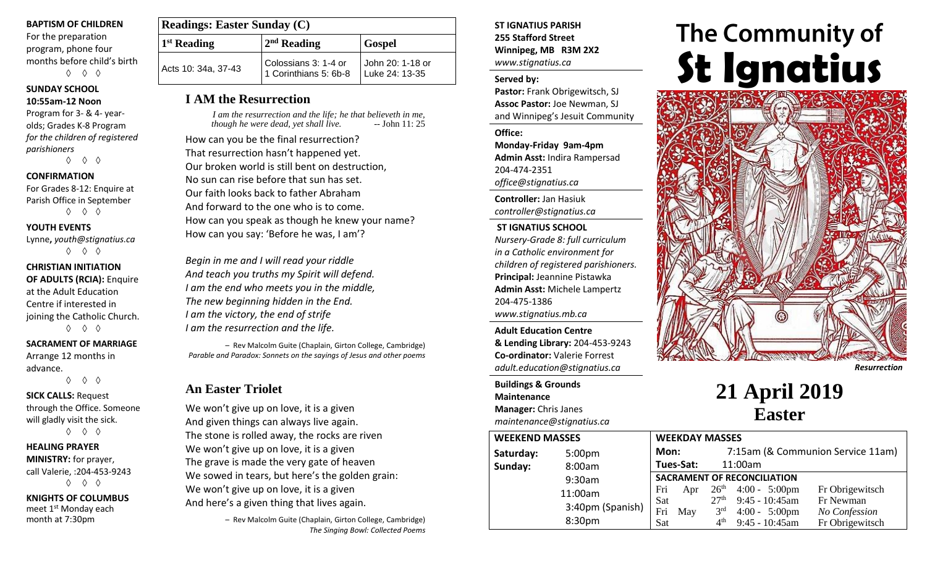#### **BAPTISM OF CHILDREN**

For the preparation program, phone four months before child's birth ◊ ◊ ◊

## **SUNDAY SCHOOL**

**10:55am-12 Noon** Program for 3- & 4- yearolds; Grades K-8 Program *for the children of registered parishioners*

◊ ◊ ◊

### **CONFIRMATION**

For Grades 8-12: Enquire at Parish Office in September ◊ ◊ ◊

#### **YOUTH EVENTS**

Lynne**,** *youth@stignatius.ca* ◊ ◊ ◊

## **CHRISTIAN INITIATION OF ADULTS (RCIA):** Enquire at the Adult Education Centre if interested in joining the Catholic Church.

◊ ◊ ◊

#### **SACRAMENT OF MARRIAGE**

Arrange 12 months in advance.

◊ ◊ ◊

#### **SICK CALLS:** Request through the Office. Someone will gladly visit the sick. ◊ ◊ ◊

## **HEALING PRAYER MINISTRY:** for prayer,

call Valerie, :204-453-9243 ◊ ◊ ◊

## **KNIGHTS OF COLUMBUS** meet 1<sup>st</sup> Monday each

month at 7:30pm

| <b>Readings: Easter Sunday (C)</b> |                                               |                                    |
|------------------------------------|-----------------------------------------------|------------------------------------|
| $1st$ Reading                      | $2nd$ Reading                                 | <b>Gospel</b>                      |
| Acts 10: 34a, 37-43                | Colossians 3: 1-4 or<br>1 Corinthians 5: 6b-8 | John 20: 1-18 or<br>Luke 24: 13-35 |

## **I AM the Resurrection**

*I am the resurrection and the life; he that believeth in me, though he were dead, yet shall live.* 

How can you be the final resurrection? That resurrection hasn't happened yet. Our broken world is still bent on destruction, No sun can rise before that sun has set. Our faith looks back to father Abraham And forward to the one who is to come. How can you speak as though he knew your name? How can you say: 'Before he was, I am'?

*Begin in me and I will read your riddle And teach you truths my Spirit will defend. I am the end who meets you in the middle, The new beginning hidden in the End. I am the victory, the end of strife I am the resurrection and the life.*

 – Rev Malcolm Guite (Chaplain, Girton College, Cambridge) *Parable and Paradox: Sonnets on the sayings of Jesus and other poems*

## **An Easter Triolet**

We won't give up on love, it is a given And given things can always live again. The stone is rolled away, the rocks are riven We won't give up on love, it is a given The grave is made the very gate of heaven We sowed in tears, but here's the golden grain: We won't give up on love, it is a given And here's a given thing that lives again.

> – Rev Malcolm Guite (Chaplain, Girton College, Cambridge) *The Singing Bowl: Collected Poems*

## **ST IGNATIUS PARISH 255 Stafford Street Winnipeg, MB R3M 2X2** *www.stignatius.ca*

## **Served by:**

**Pastor:** Frank Obrigewitsch, SJ **Assoc Pastor:** Joe Newman, SJ and Winnipeg's Jesuit Community

**Office:**

**Monday-Friday 9am-4pm Admin Asst:** Indira Rampersad 204-474-2351 *office@stignatius.ca*

**Controller:** Jan Hasiuk *controller@stignatius.ca*

## **ST IGNATIUS SCHOOL**

*Nursery-Grade 8: full curriculum in a Catholic environment for children of registered parishioners.* **Principal:** Jeannine Pistawka **Admin Asst:** Michele Lampertz 204-475-1386 *www.stignatius.mb.ca*

**Adult Education Centre & Lending Library:** 204-453-9243 **Co-ordinator:** Valerie Forrest *adult.education@stignatius.ca*

## **Buildings & Grounds Maintenance Manager:** Chris Janes *maintenance@stignatius.ca*

#### **WEEKEND MASSES Saturday:** 5:00pm **Sunday:** 8:00am 9:30am 11:00am 3:40pm (Spanish) 8:30pm **WEEKDAY MASSES Mon:** 7:15am (& Communion Service 11am) **Tues-Sat:** 11:00am **SACRAMENT OF RECONCILIATION** Fri Apr  $26<sup>th</sup>$  4:00 - 5:00pm Fr Obrigewitsch Sat  $27<sup>th</sup>$ 9:45 - 10:45am Fr Newman Fri May 3rd rd 4:00 - 5:00pm *No Confession*  $Sat$  4<sup>th</sup> 9:45 - 10:45am Fr Obrigewitsch

# **The Community of St Ignatius**



*Resurrection*

## **21 April 2019 Easter**